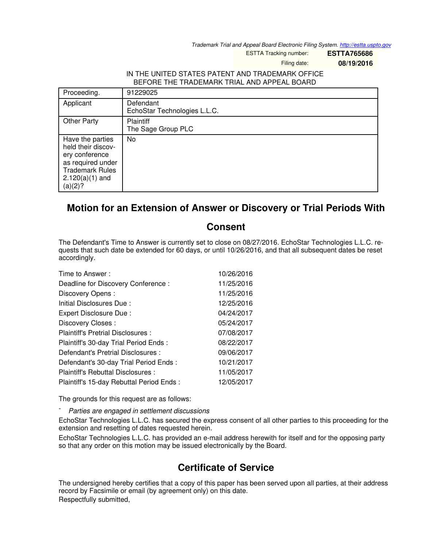*Trademark Trial and Appeal Board Electronic Filing System. <http://estta.uspto.gov>*

ESTTA Tracking number: **ESTTA765686**

Filing date: **08/19/2016**

## IN THE UNITED STATES PATENT AND TRADEMARK OFFICE BEFORE THE TRADEMARK TRIAL AND APPEAL BOARD

| Proceeding.                                                                                                                             | 91229025                                  |
|-----------------------------------------------------------------------------------------------------------------------------------------|-------------------------------------------|
| Applicant                                                                                                                               | Defendant<br>EchoStar Technologies L.L.C. |
| <b>Other Party</b>                                                                                                                      | Plaintiff<br>The Sage Group PLC           |
| Have the parties<br>held their discov-<br>ery conference<br>as required under<br><b>Trademark Rules</b><br>$2.120(a)(1)$ and<br>(a)(2)? | No                                        |

## **Motion for an Extension of Answer or Discovery or Trial Periods With**

## **Consent**

The Defendant's Time to Answer is currently set to close on 08/27/2016. EchoStar Technologies L.L.C. requests that such date be extended for 60 days, or until 10/26/2016, and that all subsequent dates be reset accordingly.

| Time to Answer:                          | 10/26/2016 |
|------------------------------------------|------------|
| Deadline for Discovery Conference:       | 11/25/2016 |
| Discovery Opens:                         | 11/25/2016 |
| Initial Disclosures Due:                 | 12/25/2016 |
| Expert Disclosure Due:                   | 04/24/2017 |
| Discovery Closes:                        | 05/24/2017 |
| Plaintiff's Pretrial Disclosures :       | 07/08/2017 |
| Plaintiff's 30-day Trial Period Ends:    | 08/22/2017 |
| Defendant's Pretrial Disclosures :       | 09/06/2017 |
| Defendant's 30-day Trial Period Ends:    | 10/21/2017 |
| Plaintiff's Rebuttal Disclosures :       | 11/05/2017 |
| Plaintiff's 15-day Rebuttal Period Ends: | 12/05/2017 |

The grounds for this request are as follows:

- *Parties are engaged in settlement discussions*

EchoStar Technologies L.L.C. has secured the express consent of all other parties to this proceeding for the extension and resetting of dates requested herein.

EchoStar Technologies L.L.C. has provided an e-mail address herewith for itself and for the opposing party so that any order on this motion may be issued electronically by the Board.

## **Certificate of Service**

The undersigned hereby certifies that a copy of this paper has been served upon all parties, at their address record by Facsimile or email (by agreement only) on this date. Respectfully submitted,